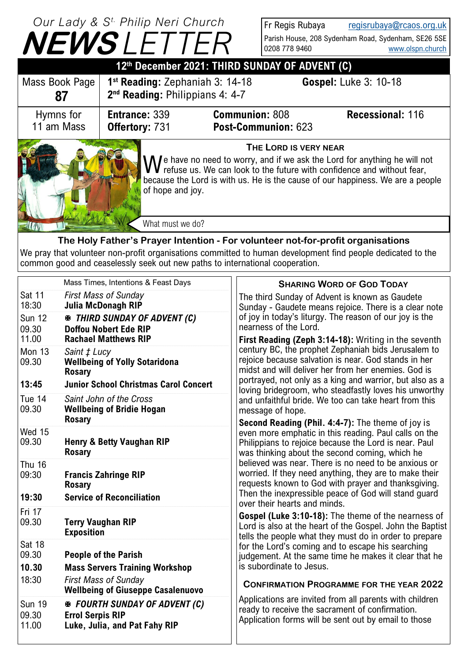## **NEWS** *LETTER Our Lady & S t. Philip Neri Church*

Mon 13 *Saint ‡ Lucy*

**Rosary**

**Rosary**

**Rosary**

**Rosary**

**Exposition** 

18:30 *First Mass of Sunday*

09.30 **Errol Serpis RIP**

**Wellbeing of Giuseppe Casalenuovo**

Sun 19 *FOURTH SUNDAY OF ADVENT (C)*

**Luke, Julia, and Pat Fahy RIP** 

Wed 15

Thu 16

Fri 17<br>09.30

Sat 18

Fr Regis Rubaya [regisrubaya@rcaos.org.uk](mailto:regisrubaya@rcaos.org.uk) Parish House, 208 Sydenham Road, Sydenham, SE26 5SE<br>0208 778 9460 [www.olspn.church](http://www.olspn.church)

|                                                                                                                                                                                                                                                                                                                                          | <u>— L</u>                                                                                      |                                              |                                                                                    |                                                       |  |
|------------------------------------------------------------------------------------------------------------------------------------------------------------------------------------------------------------------------------------------------------------------------------------------------------------------------------------------|-------------------------------------------------------------------------------------------------|----------------------------------------------|------------------------------------------------------------------------------------|-------------------------------------------------------|--|
| 12th December 2021: THIRD SUNDAY OF ADVENT (C)                                                                                                                                                                                                                                                                                           |                                                                                                 |                                              |                                                                                    |                                                       |  |
| Mass Book Page<br>87                                                                                                                                                                                                                                                                                                                     | $1st$ Reading: Zephaniah 3: 14-18<br>2 <sup>nd</sup> Reading: Philippians 4: 4-7                |                                              | <b>Gospel:</b> Luke 3: 10-18                                                       |                                                       |  |
| Hymns for<br>11 am Mass                                                                                                                                                                                                                                                                                                                  | <b>Entrance: 339</b><br><b>Offertory: 731</b>                                                   | <b>Communion: 808</b><br>Post-Communion: 623 |                                                                                    | <b>Recessional: 116</b>                               |  |
| THE LORD IS VERY NEAR<br>$\Lambda$ /e have no need to worry, and if we ask the Lord for anything he will not<br>$\mathbf V$ $\mathbf V$ refuse us. We can look to the future with confidence and without fear,<br>because the Lord is with us. He is the cause of our happiness. We are a people<br>of hope and joy.<br>What must we do? |                                                                                                 |                                              |                                                                                    |                                                       |  |
| The Holy Father's Prayer Intention - For volunteer not-for-profit organisations<br>We pray that volunteer non-profit organisations committed to human development find people dedicated to the<br>common good and ceaselessly seek out new paths to international cooperation.                                                           |                                                                                                 |                                              |                                                                                    |                                                       |  |
| <b>Sat 11</b><br>18:30                                                                                                                                                                                                                                                                                                                   | Mass Times, Intentions & Feast Days<br><b>First Mass of Sunday</b><br><b>Julia McDonagh RIP</b> |                                              | <b>SHARING WORD OF GOD TODAY</b><br>The third Sunday of Advent is known as Gaudete | Sunday - Gaudete means rejoice. There is a clear note |  |

of joy in today's liturgy. The reason of our joy is the nearness of the Lord. **First Reading (Zeph 3:14-18):** Writing in the seventh century BC, the prophet Zephaniah bids Jerusalem to rejoice because salvation is near. God stands in her midst and will deliver her from her enemies. God is portrayed, not only as a king and warrior, but also as a loving bridegroom, who steadfastly loves his unworthy and unfaithful bride. We too can take heart from this message of hope. **Second Reading (Phil. 4:4-7):** The theme of joy is even more emphatic in this reading. Paul calls on the Philippians to rejoice because the Lord is near. Paul was thinking about the second coming, which he believed was near. There is no need to be anxious or worried. If they need anything, they are to make their requests known to God with prayer and thanksgiving. Then the inexpressible peace of God will stand guard over their hearts and minds. **Gospel (Luke 3:10-18):** The theme of the nearness of Lord is also at the heart of the Gospel. John the Baptist tells the people what they must do in order to prepare for the Lord's coming and to escape his searching judgement. At the same time he makes it clear that he is subordinate to Jesus. Sun 12 *THIRD SUNDAY OF ADVENT (C)* 09.30 **Doffou Nobert Ede RIP** 11.00 **Rachael Matthews RIP** 09.30 **Wellbeing of Yolly Sotaridona 13:45 Junior School Christmas Carol Concert** Tue 14 *Saint John of the Cross* 09.30 **Wellbeing of Bridie Hogan** 09.30 **Henry & Betty Vaughan RIP** 09:30 **Francis Zahringe RIP 19:30 Service of Reconciliation** 09.30 **Terry Vaughan RIP** 09.30 **People of the Parish 10.30 Mass Servers Training Workshop**

## **CONFIRMATION PROGRAMME FOR THE YEAR 2022**

Applications are invited from all parents with children ready to receive the sacrament of confirmation. Application forms will be sent out by email to those